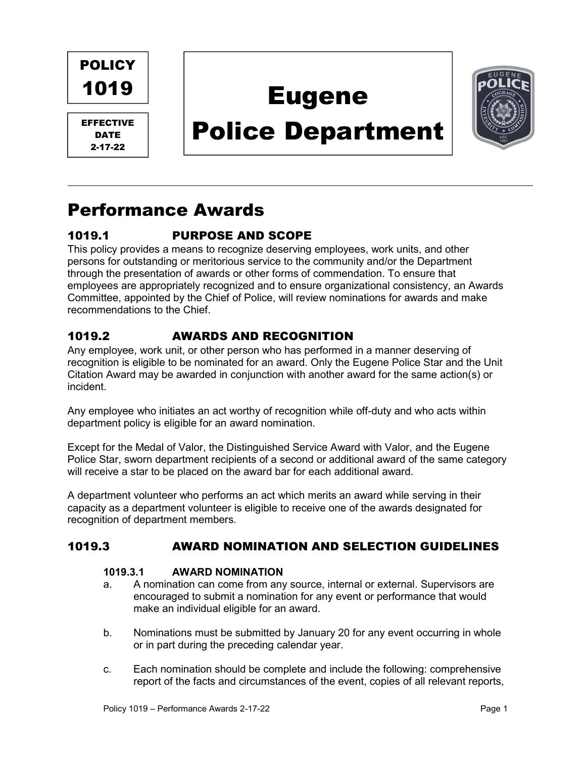

EFFECTIVE DATE 2-17-22

# Eugene

# Police Department



## Performance Awards

### 1019.1 PURPOSE AND SCOPE

This policy provides a means to recognize deserving employees, work units, and other persons for outstanding or meritorious service to the community and/or the Department through the presentation of awards or other forms of commendation. To ensure that employees are appropriately recognized and to ensure organizational consistency, an Awards Committee, appointed by the Chief of Police, will review nominations for awards and make recommendations to the Chief.

### 1019.2 AWARDS AND RECOGNITION

Any employee, work unit, or other person who has performed in a manner deserving of recognition is eligible to be nominated for an award. Only the Eugene Police Star and the Unit Citation Award may be awarded in conjunction with another award for the same action(s) or incident.

Any employee who initiates an act worthy of recognition while off-duty and who acts within department policy is eligible for an award nomination.

Except for the Medal of Valor, the Distinguished Service Award with Valor, and the Eugene Police Star, sworn department recipients of a second or additional award of the same category will receive a star to be placed on the award bar for each additional award.

A department volunteer who performs an act which merits an award while serving in their capacity as a department volunteer is eligible to receive one of the awards designated for recognition of department members.

#### 1019.3 AWARD NOMINATION AND SELECTION GUIDELINES

#### 1019.3.1 AWARD NOMINATION

- a. A nomination can come from any source, internal or external. Supervisors are encouraged to submit a nomination for any event or performance that would make an individual eligible for an award.
- b. Nominations must be submitted by January 20 for any event occurring in whole or in part during the preceding calendar year.
- c. Each nomination should be complete and include the following: comprehensive report of the facts and circumstances of the event, copies of all relevant reports,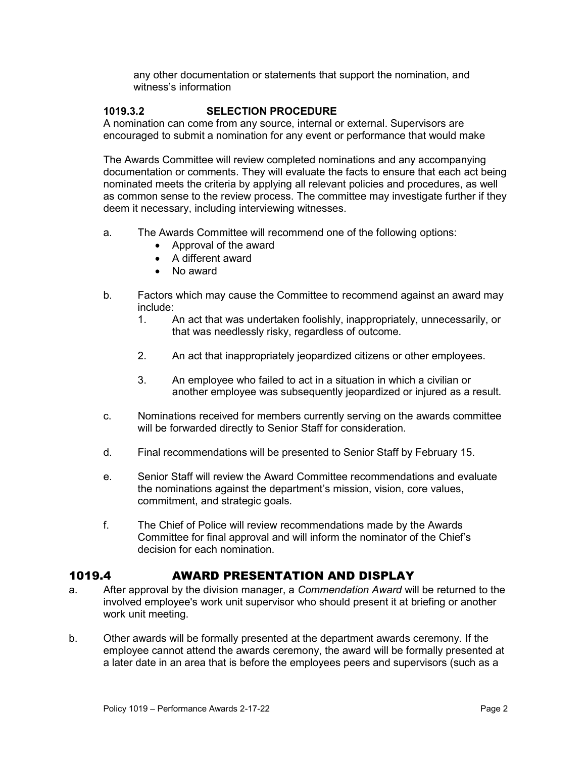any other documentation or statements that support the nomination, and witness's information

#### 1019.3.2 SELECTION PROCEDURE

A nomination can come from any source, internal or external. Supervisors are encouraged to submit a nomination for any event or performance that would make

The Awards Committee will review completed nominations and any accompanying documentation or comments. They will evaluate the facts to ensure that each act being nominated meets the criteria by applying all relevant policies and procedures, as well as common sense to the review process. The committee may investigate further if they deem it necessary, including interviewing witnesses.

- a. The Awards Committee will recommend one of the following options:
	- Approval of the award
	- A different award
	- No award
- b. Factors which may cause the Committee to recommend against an award may include:
	- 1. An act that was undertaken foolishly, inappropriately, unnecessarily, or that was needlessly risky, regardless of outcome.
	- 2. An act that inappropriately jeopardized citizens or other employees.
	- 3. An employee who failed to act in a situation in which a civilian or another employee was subsequently jeopardized or injured as a result.
- c. Nominations received for members currently serving on the awards committee will be forwarded directly to Senior Staff for consideration.
- d. Final recommendations will be presented to Senior Staff by February 15.
- e. Senior Staff will review the Award Committee recommendations and evaluate the nominations against the department's mission, vision, core values, commitment, and strategic goals.
- f. The Chief of Police will review recommendations made by the Awards Committee for final approval and will inform the nominator of the Chief's decision for each nomination.

#### 1019.4 AWARD PRESENTATION AND DISPLAY

- a. After approval by the division manager, a Commendation Award will be returned to the involved employee's work unit supervisor who should present it at briefing or another work unit meeting.
- b. Other awards will be formally presented at the department awards ceremony. If the employee cannot attend the awards ceremony, the award will be formally presented at a later date in an area that is before the employees peers and supervisors (such as a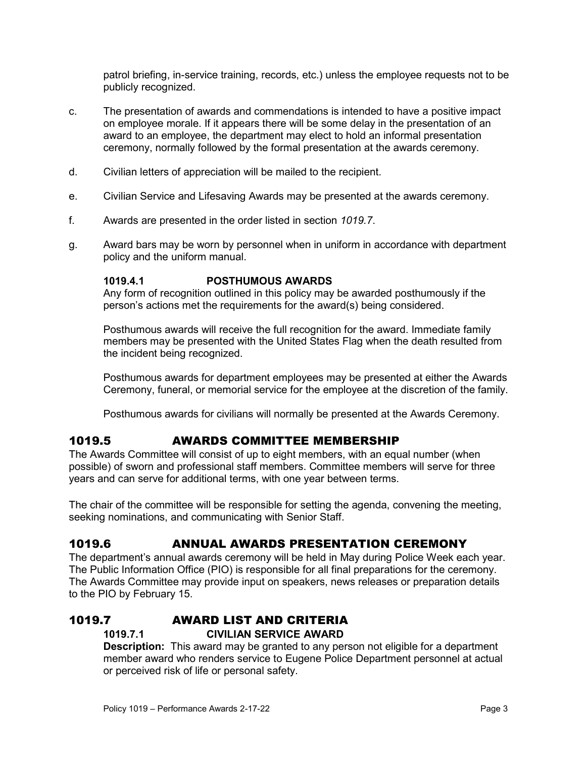patrol briefing, in-service training, records, etc.) unless the employee requests not to be publicly recognized.

- c. The presentation of awards and commendations is intended to have a positive impact on employee morale. If it appears there will be some delay in the presentation of an award to an employee, the department may elect to hold an informal presentation ceremony, normally followed by the formal presentation at the awards ceremony.
- d. Civilian letters of appreciation will be mailed to the recipient.
- e. Civilian Service and Lifesaving Awards may be presented at the awards ceremony.
- f. Awards are presented in the order listed in section 1019.7.
- g. Award bars may be worn by personnel when in uniform in accordance with department policy and the uniform manual.

#### 1019.4.1 POSTHUMOUS AWARDS

Any form of recognition outlined in this policy may be awarded posthumously if the person's actions met the requirements for the award(s) being considered.

Posthumous awards will receive the full recognition for the award. Immediate family members may be presented with the United States Flag when the death resulted from the incident being recognized.

Posthumous awards for department employees may be presented at either the Awards Ceremony, funeral, or memorial service for the employee at the discretion of the family.

Posthumous awards for civilians will normally be presented at the Awards Ceremony.

#### 1019.5 AWARDS COMMITTEE MEMBERSHIP

The Awards Committee will consist of up to eight members, with an equal number (when possible) of sworn and professional staff members. Committee members will serve for three years and can serve for additional terms, with one year between terms.

The chair of the committee will be responsible for setting the agenda, convening the meeting, seeking nominations, and communicating with Senior Staff.

#### 1019.6 ANNUAL AWARDS PRESENTATION CEREMONY

The department's annual awards ceremony will be held in May during Police Week each year. The Public Information Office (PIO) is responsible for all final preparations for the ceremony. The Awards Committee may provide input on speakers, news releases or preparation details to the PIO by February 15.

#### 1019.7 AWARD LIST AND CRITERIA

#### 1019.7.1 CIVILIAN SERVICE AWARD

**Description:** This award may be granted to any person not eligible for a department member award who renders service to Eugene Police Department personnel at actual or perceived risk of life or personal safety.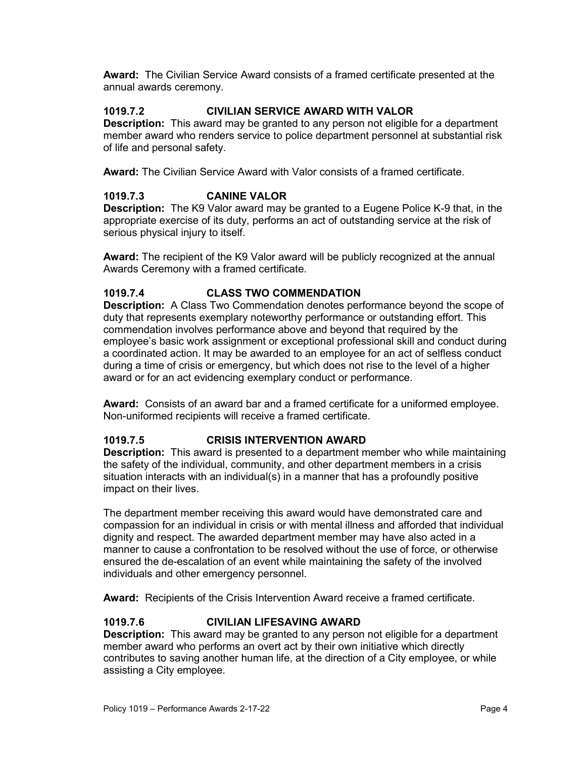Award: The Civilian Service Award consists of a framed certificate presented at the annual awards ceremony.

#### 1019.7.2 CIVILIAN SERVICE AWARD WITH VALOR

**Description:** This award may be granted to any person not eligible for a department member award who renders service to police department personnel at substantial risk of life and personal safety.

Award: The Civilian Service Award with Valor consists of a framed certificate.

#### 1019.7.3 CANINE VALOR

Description: The K9 Valor award may be granted to a Eugene Police K-9 that, in the appropriate exercise of its duty, performs an act of outstanding service at the risk of serious physical injury to itself.

Award: The recipient of the K9 Valor award will be publicly recognized at the annual Awards Ceremony with a framed certificate.

#### 1019.7.4 CLASS TWO COMMENDATION

Description: A Class Two Commendation denotes performance beyond the scope of duty that represents exemplary noteworthy performance or outstanding effort. This commendation involves performance above and beyond that required by the employee's basic work assignment or exceptional professional skill and conduct during a coordinated action. It may be awarded to an employee for an act of selfless conduct during a time of crisis or emergency, but which does not rise to the level of a higher award or for an act evidencing exemplary conduct or performance.

Award: Consists of an award bar and a framed certificate for a uniformed employee. Non-uniformed recipients will receive a framed certificate.

#### 1019.7.5 CRISIS INTERVENTION AWARD

**Description:** This award is presented to a department member who while maintaining the safety of the individual, community, and other department members in a crisis situation interacts with an individual(s) in a manner that has a profoundly positive impact on their lives.

The department member receiving this award would have demonstrated care and compassion for an individual in crisis or with mental illness and afforded that individual dignity and respect. The awarded department member may have also acted in a manner to cause a confrontation to be resolved without the use of force, or otherwise ensured the de-escalation of an event while maintaining the safety of the involved individuals and other emergency personnel.

Award: Recipients of the Crisis Intervention Award receive a framed certificate.

#### 1019.7.6 CIVILIAN LIFESAVING AWARD

**Description:** This award may be granted to any person not eligible for a department member award who performs an overt act by their own initiative which directly contributes to saving another human life, at the direction of a City employee, or while assisting a City employee.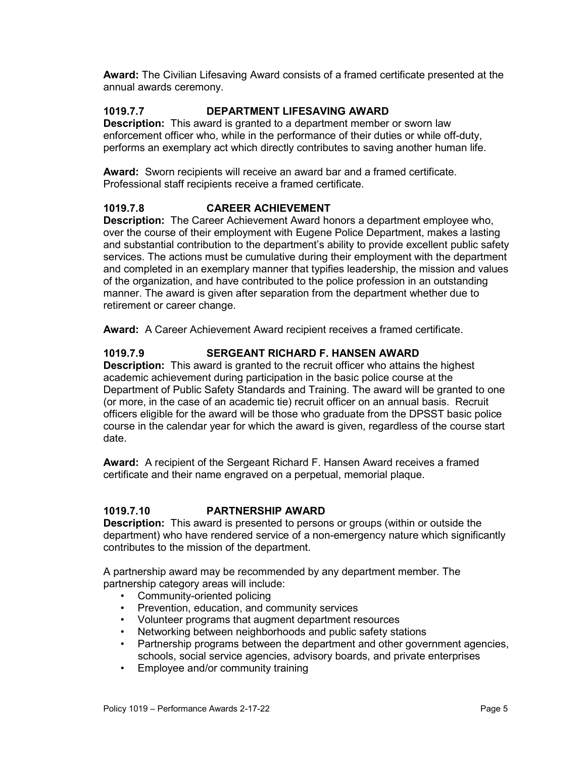Award: The Civilian Lifesaving Award consists of a framed certificate presented at the annual awards ceremony.

#### 1019.7.7 DEPARTMENT LIFESAVING AWARD

Description: This award is granted to a department member or sworn law enforcement officer who, while in the performance of their duties or while off-duty, performs an exemplary act which directly contributes to saving another human life.

Award: Sworn recipients will receive an award bar and a framed certificate. Professional staff recipients receive a framed certificate.

#### 1019.7.8 CAREER ACHIEVEMENT

Description: The Career Achievement Award honors a department employee who, over the course of their employment with Eugene Police Department, makes a lasting and substantial contribution to the department's ability to provide excellent public safety services. The actions must be cumulative during their employment with the department and completed in an exemplary manner that typifies leadership, the mission and values of the organization, and have contributed to the police profession in an outstanding manner. The award is given after separation from the department whether due to retirement or career change.

Award: A Career Achievement Award recipient receives a framed certificate.

#### 1019.7.9 SERGEANT RICHARD F. HANSEN AWARD

**Description:** This award is granted to the recruit officer who attains the highest academic achievement during participation in the basic police course at the Department of Public Safety Standards and Training. The award will be granted to one (or more, in the case of an academic tie) recruit officer on an annual basis. Recruit officers eligible for the award will be those who graduate from the DPSST basic police course in the calendar year for which the award is given, regardless of the course start date.

Award: A recipient of the Sergeant Richard F. Hansen Award receives a framed certificate and their name engraved on a perpetual, memorial plaque.

#### 1019.7.10 PARTNERSHIP AWARD

Description: This award is presented to persons or groups (within or outside the department) who have rendered service of a non-emergency nature which significantly contributes to the mission of the department.

A partnership award may be recommended by any department member. The partnership category areas will include:

- Community-oriented policing
- Prevention, education, and community services
- Volunteer programs that augment department resources
- Networking between neighborhoods and public safety stations
- Partnership programs between the department and other government agencies, schools, social service agencies, advisory boards, and private enterprises
- Employee and/or community training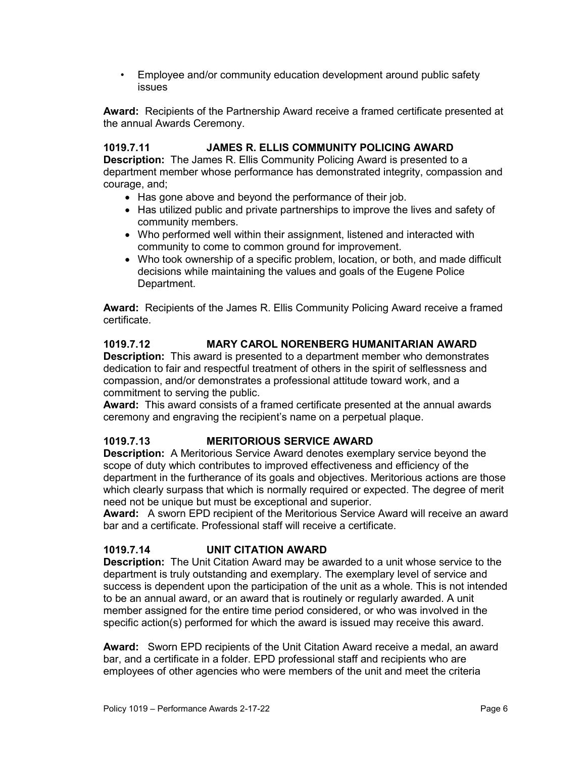• Employee and/or community education development around public safety issues

Award: Recipients of the Partnership Award receive a framed certificate presented at the annual Awards Ceremony.

#### 1019.7.11 JAMES R. ELLIS COMMUNITY POLICING AWARD

Description: The James R. Ellis Community Policing Award is presented to a department member whose performance has demonstrated integrity, compassion and courage, and;

- Has gone above and beyond the performance of their job.
- Has utilized public and private partnerships to improve the lives and safety of community members.
- Who performed well within their assignment, listened and interacted with community to come to common ground for improvement.
- Who took ownership of a specific problem, location, or both, and made difficult decisions while maintaining the values and goals of the Eugene Police Department.

Award: Recipients of the James R. Ellis Community Policing Award receive a framed certificate.

#### 1019.7.12 MARY CAROL NORENBERG HUMANITARIAN AWARD

Description: This award is presented to a department member who demonstrates dedication to fair and respectful treatment of others in the spirit of selflessness and compassion, and/or demonstrates a professional attitude toward work, and a commitment to serving the public.

Award: This award consists of a framed certificate presented at the annual awards ceremony and engraving the recipient's name on a perpetual plaque.

#### 1019.7.13 MERITORIOUS SERVICE AWARD

Description: A Meritorious Service Award denotes exemplary service beyond the scope of duty which contributes to improved effectiveness and efficiency of the department in the furtherance of its goals and objectives. Meritorious actions are those which clearly surpass that which is normally required or expected. The degree of merit need not be unique but must be exceptional and superior.

Award: A sworn EPD recipient of the Meritorious Service Award will receive an award bar and a certificate. Professional staff will receive a certificate.

#### 1019.7.14 UNIT CITATION AWARD

Description: The Unit Citation Award may be awarded to a unit whose service to the department is truly outstanding and exemplary. The exemplary level of service and success is dependent upon the participation of the unit as a whole. This is not intended to be an annual award, or an award that is routinely or regularly awarded. A unit member assigned for the entire time period considered, or who was involved in the specific action(s) performed for which the award is issued may receive this award.

Award: Sworn EPD recipients of the Unit Citation Award receive a medal, an award bar, and a certificate in a folder. EPD professional staff and recipients who are employees of other agencies who were members of the unit and meet the criteria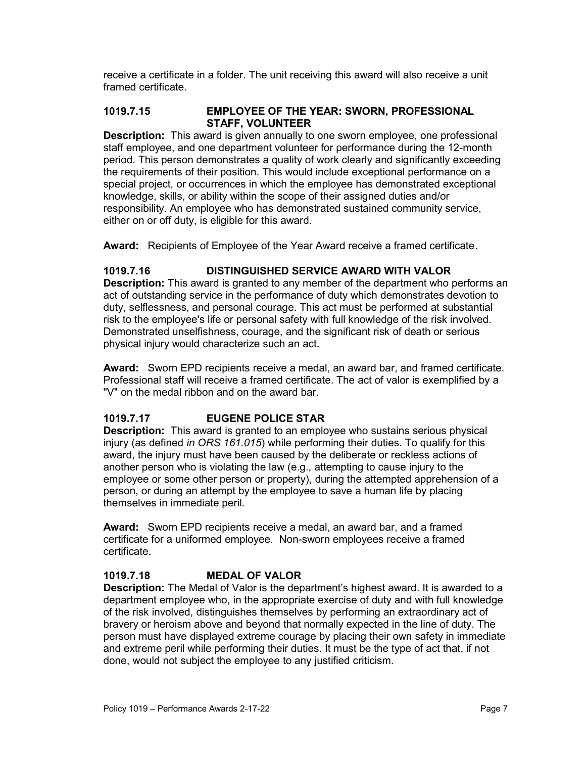receive a certificate in a folder. The unit receiving this award will also receive a unit framed certificate.

#### 1019.7.15 EMPLOYEE OF THE YEAR: SWORN, PROFESSIONAL STAFF, VOLUNTEER

**Description:** This award is given annually to one sworn employee, one professional staff employee, and one department volunteer for performance during the 12-month period. This person demonstrates a quality of work clearly and significantly exceeding the requirements of their position. This would include exceptional performance on a special project, or occurrences in which the employee has demonstrated exceptional knowledge, skills, or ability within the scope of their assigned duties and/or responsibility. An employee who has demonstrated sustained community service, either on or off duty, is eligible for this award.

Award: Recipients of Employee of the Year Award receive a framed certificate.

#### 1019.7.16 DISTINGUISHED SERVICE AWARD WITH VALOR

**Description:** This award is granted to any member of the department who performs an act of outstanding service in the performance of duty which demonstrates devotion to duty, selflessness, and personal courage. This act must be performed at substantial risk to the employee's life or personal safety with full knowledge of the risk involved. Demonstrated unselfishness, courage, and the significant risk of death or serious physical injury would characterize such an act.

Award: Sworn EPD recipients receive a medal, an award bar, and framed certificate. Professional staff will receive a framed certificate. The act of valor is exemplified by a "V" on the medal ribbon and on the award bar.

#### 1019.7.17 EUGENE POLICE STAR

**Description:** This award is granted to an employee who sustains serious physical injury (as defined in ORS 161.015) while performing their duties. To qualify for this award, the injury must have been caused by the deliberate or reckless actions of another person who is violating the law (e.g., attempting to cause injury to the employee or some other person or property), during the attempted apprehension of a person, or during an attempt by the employee to save a human life by placing themselves in immediate peril.

Award: Sworn EPD recipients receive a medal, an award bar, and a framed certificate for a uniformed employee. Non-sworn employees receive a framed certificate.

#### 1019.7.18 MEDAL OF VALOR

Description: The Medal of Valor is the department's highest award. It is awarded to a department employee who, in the appropriate exercise of duty and with full knowledge of the risk involved, distinguishes themselves by performing an extraordinary act of bravery or heroism above and beyond that normally expected in the line of duty. The person must have displayed extreme courage by placing their own safety in immediate and extreme peril while performing their duties. It must be the type of act that, if not done, would not subject the employee to any justified criticism.